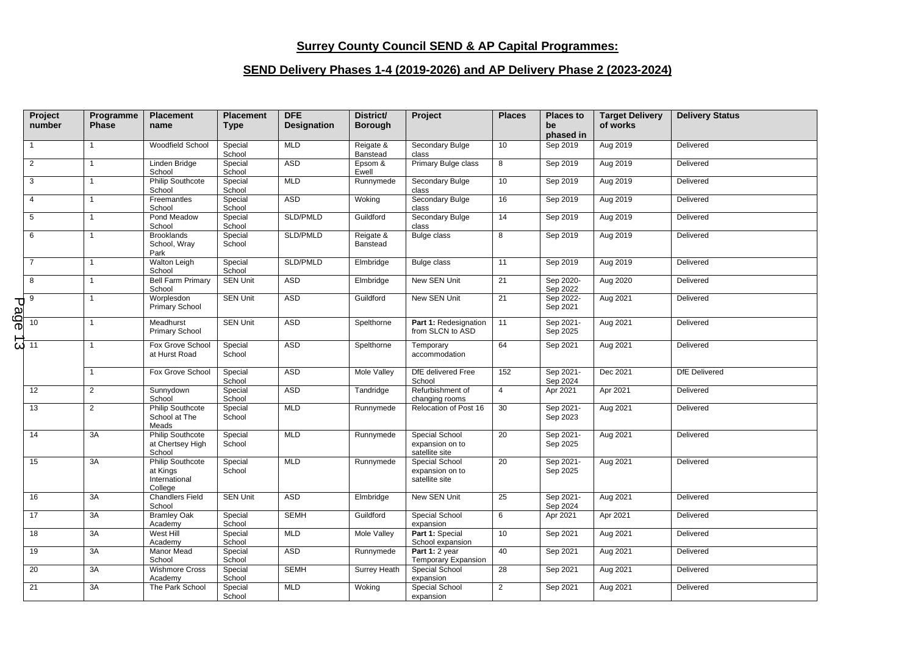## **Surrey County Council SEND & AP Capital Programmes:**

## **SEND Delivery Phases 1-4 (2019-2026) and AP Delivery Phase 2 (2023-2024)**

|      | Project<br>number      | Programme<br><b>Phase</b> | <b>Placement</b><br>name                                        | <b>Placement</b><br><b>Type</b> | <b>DFE</b><br><b>Designation</b> | District/<br><b>Borough</b> | Project                                                    | <b>Places</b>   | <b>Places to</b><br>be<br>phased in | <b>Target Delivery</b><br>of works | <b>Delivery Status</b> |
|------|------------------------|---------------------------|-----------------------------------------------------------------|---------------------------------|----------------------------------|-----------------------------|------------------------------------------------------------|-----------------|-------------------------------------|------------------------------------|------------------------|
|      | $\mathbf{1}$           | $\mathbf{1}$              | Woodfield School                                                | Special<br>School               | <b>MLD</b>                       | Reigate &<br>Banstead       | Secondary Bulge<br>class                                   | 10              | Sep 2019                            | Aug 2019                           | Delivered              |
|      | $\overline{2}$         | $\mathbf{1}$              | Linden Bridge<br>School                                         | Special<br>School               | ASD                              | Epsom &<br>Ewell            | Primary Bulge class                                        | 8               | Sep 2019                            | Aug 2019                           | Delivered              |
|      | 3                      | $\mathbf{1}$              | <b>Philip Southcote</b><br>School                               | Special<br>School               | <b>MLD</b>                       | Runnymede                   | Secondary Bulge<br>class                                   | 10              | Sep 2019                            | Aug 2019                           | Delivered              |
|      | $\overline{4}$         | $\mathbf{1}$              | Freemantles<br>School                                           | Special<br>School               | ASD                              | Woking                      | Secondary Bulge<br>class                                   | 16              | Sep 2019                            | Aug 2019                           | Delivered              |
|      | 5                      | $\mathbf{1}$              | Pond Meadow<br>School                                           | Special<br>School               | SLD/PMLD                         | Guildford                   | Secondary Bulge<br>class                                   | 14              | Sep 2019                            | Aug 2019                           | Delivered              |
|      | 6                      | $\mathbf{1}$              | <b>Brooklands</b><br>School, Wray<br>Park                       | Special<br>School               | SLD/PMLD                         | Reigate &<br>Banstead       | <b>Bulge class</b>                                         | 8               | Sep 2019                            | Aug 2019                           | Delivered              |
|      | $\overline{7}$         | $\mathbf{1}$              | <b>Walton Leigh</b><br>School                                   | Special<br>School               | SLD/PMLD                         | Elmbridge                   | <b>Bulge class</b>                                         | 11              | Sep 2019                            | Aug 2019                           | Delivered              |
|      | 8                      | $\mathbf{1}$              | <b>Bell Farm Primary</b><br>School                              | <b>SEN Unit</b>                 | ASD                              | Elmbridge                   | New SEN Unit                                               | 21              | Sep 2020-<br>Sep 2022               | Aug 2020                           | Delivered              |
| Page | 9                      | $\mathbf{1}$              | Worplesdon<br><b>Primary School</b>                             | <b>SEN Unit</b>                 | ASD                              | Guildford                   | New SEN Unit                                               | 21              | Sep 2022-<br>Sep 2021               | Aug 2021                           | Delivered              |
|      | 10                     | $\mathbf{1}$              | Meadhurst<br>Primary School                                     | <b>SEN Unit</b>                 | <b>ASD</b>                       | Spelthorne                  | Part 1: Redesignation<br>from SLCN to ASD                  | 11              | Sep 2021-<br>Sep 2025               | Aug 2021                           | Delivered              |
|      | $\overline{\omega}$ 11 | $\mathbf{1}$              | Fox Grove School<br>at Hurst Road                               | Special<br>School               | ASD                              | Spelthorne                  | Temporary<br>accommodation                                 | 64              | Sep 2021                            | Aug 2021                           | Delivered              |
|      |                        | $\overline{1}$            | Fox Grove School                                                | Special<br>School               | ASD                              | Mole Valley                 | DfE delivered Free<br>School                               | 152             | Sep 2021-<br>Sep 2024               | Dec 2021                           | <b>DfE</b> Delivered   |
|      | 12                     | $\overline{2}$            | Sunnydown<br>School                                             | Special<br>School               | <b>ASD</b>                       | Tandridge                   | Refurbishment of<br>changing rooms                         | $\overline{4}$  | Apr 2021                            | Apr 2021                           | Delivered              |
|      | 13                     | $\overline{2}$            | <b>Philip Southcote</b><br>School at The<br>Meads               | Special<br>School               | <b>MLD</b>                       | Runnymede                   | Relocation of Post 16                                      | 30              | Sep 2021-<br>Sep 2023               | Aug 2021                           | Delivered              |
|      | 14                     | 3A                        | <b>Philip Southcote</b><br>at Chertsey High<br>School           | Special<br>School               | <b>MLD</b>                       | Runnymede                   | Special School<br>expansion on to<br>satellite site        | $\overline{20}$ | Sep 2021-<br>Sep 2025               | Aug 2021                           | Delivered              |
|      | 15                     | 3A                        | <b>Philip Southcote</b><br>at Kings<br>International<br>College | Special<br>School               | <b>MLD</b>                       | Runnymede                   | <b>Special School</b><br>expansion on to<br>satellite site | 20              | Sep 2021-<br>Sep 2025               | Aug 2021                           | Delivered              |
|      | 16                     | 3A                        | <b>Chandlers Field</b><br>School                                | <b>SEN Unit</b>                 | ASD                              | Elmbridge                   | New SEN Unit                                               | 25              | Sep 2021-<br>Sep 2024               | Aug 2021                           | Delivered              |
|      | 17                     | 3A                        | <b>Bramley Oak</b><br>Academy                                   | Special<br>School               | <b>SEMH</b>                      | Guildford                   | <b>Special School</b><br>expansion                         | 6               | Apr 2021                            | Apr 2021                           | Delivered              |
|      | 18                     | 3A                        | West Hill<br>Academy                                            | Special<br>School               | <b>MLD</b>                       | Mole Valley                 | Part 1: Special<br>School expansion                        | 10              | Sep 2021                            | Aug 2021                           | Delivered              |
|      | 19                     | 3A                        | Manor Mead<br>School                                            | Special<br>School               | ASD                              | Runnymede                   | Part 1: 2 year<br>Temporary Expansion                      | 40              | Sep 2021                            | Aug 2021                           | Delivered              |
|      | 20                     | 3A                        | <b>Wishmore Cross</b><br>Academy                                | Special<br>School               | <b>SEMH</b>                      | <b>Surrey Heath</b>         | Special School<br>expansion                                | 28              | Sep 2021                            | Aug 2021                           | Delivered              |
|      | 21                     | 3A                        | The Park School                                                 | Special<br>School               | <b>MLD</b>                       | Woking                      | Special School<br>expansion                                | $\overline{2}$  | Sep 2021                            | Aug 2021                           | Delivered              |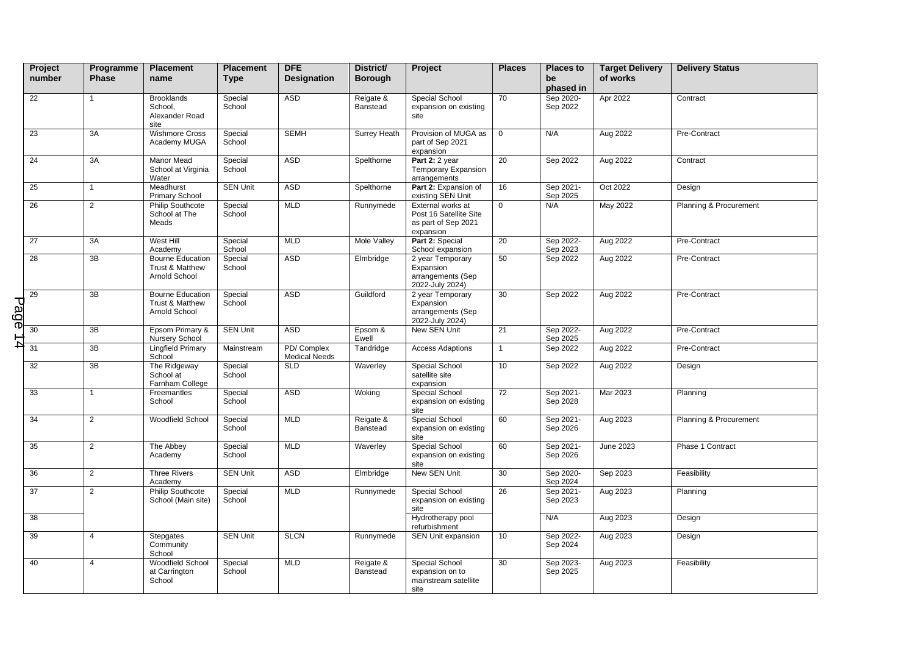|      | Project<br>number | Programme<br><b>Phase</b> | <b>Placement</b><br>name                                    | <b>Placement</b><br><b>Type</b> | <b>DFE</b><br><b>Designation</b>   | District/<br><b>Borough</b> | Project                                                                         | <b>Places</b>   | <b>Places to</b><br>be<br>phased in | <b>Target Delivery</b><br>of works | <b>Delivery Status</b> |
|------|-------------------|---------------------------|-------------------------------------------------------------|---------------------------------|------------------------------------|-----------------------------|---------------------------------------------------------------------------------|-----------------|-------------------------------------|------------------------------------|------------------------|
|      | 22                | $\mathbf{1}$              | <b>Brooklands</b><br>School,<br>Alexander Road<br>site      | Special<br>School               | <b>ASD</b>                         | Reigate &<br>Banstead       | Special School<br>expansion on existing<br>site                                 | 70              | Sep 2020-<br>Sep 2022               | Apr 2022                           | Contract               |
|      | 23                | 3A                        | <b>Wishmore Cross</b><br>Academy MUGA                       | Special<br>School               | <b>SEMH</b>                        | <b>Surrey Heath</b>         | Provision of MUGA as<br>part of Sep 2021<br>expansion                           | $\mathbf 0$     | N/A                                 | Aug 2022                           | Pre-Contract           |
|      | 24                | 3A                        | Manor Mead<br>School at Virginia<br>Water                   | Special<br>School               | <b>ASD</b>                         | Spelthorne                  | Part 2: 2 year<br><b>Temporary Expansion</b><br>arrangements                    | 20              | Sep 2022                            | Aug 2022                           | Contract               |
|      | 25                | $\mathbf{1}$              | Meadhurst<br><b>Primary School</b>                          | <b>SEN Unit</b>                 | <b>ASD</b>                         | Spelthorne                  | Part 2: Expansion of<br>existing SEN Unit                                       | 16              | Sep 2021-<br>Sep 2025               | Oct 2022                           | Design                 |
|      | 26                | $\overline{2}$            | Philip Southcote<br>School at The<br>Meads                  | Special<br>School               | <b>MLD</b>                         | Runnymede                   | External works at<br>Post 16 Satellite Site<br>as part of Sep 2021<br>expansion | $\mathbf 0$     | N/A                                 | May 2022                           | Planning & Procurement |
|      | 27                | 3A                        | West Hill<br>Academy                                        | Special<br>School               | <b>MLD</b>                         | <b>Mole Valley</b>          | Part 2: Special<br>School expansion                                             | 20              | Sep 2022-<br>Sep 2023               | Aug 2022                           | Pre-Contract           |
|      | $\overline{28}$   | 3B                        | <b>Bourne Education</b><br>Trust & Matthew<br>Arnold School | Special<br>School               | <b>ASD</b>                         | Elmbridge                   | 2 year Temporary<br>Expansion<br>arrangements (Sep<br>2022-July 2024)           | 50              | Sep 2022                            | Aug 2022                           | Pre-Contract           |
| Page | 29                | 3B                        | <b>Bourne Education</b><br>Trust & Matthew<br>Arnold School | Special<br>School               | <b>ASD</b>                         | Guildford                   | 2 year Temporary<br>Expansion<br>arrangements (Sep<br>2022-July 2024)           | 30              | Sep 2022                            | Aug 2022                           | Pre-Contract           |
|      | 30                | $\overline{3B}$           | Epsom Primary &<br>Nursery School                           | <b>SEN Unit</b>                 | <b>ASD</b>                         | Epsom &<br>Ewell            | New SEN Unit                                                                    | 21              | Sep 2022-<br>Sep 2025               | Aug 2022                           | Pre-Contract           |
| 4    | 31                | 3B                        | Lingfield Primary<br>School                                 | Mainstream                      | PD/Complex<br><b>Medical Needs</b> | Tandridge                   | <b>Access Adaptions</b>                                                         | $\mathbf{1}$    | Sep 2022                            | Aug 2022                           | Pre-Contract           |
|      | 32                | $\overline{3B}$           | The Ridgeway<br>School at<br>Farnham College                | Special<br>School               | <b>SLD</b>                         | Waverley                    | Special School<br>satellite site<br>expansion                                   | 10              | Sep 2022                            | Aug 2022                           | Design                 |
|      | 33                | $\mathbf{1}$              | Freemantles<br>School                                       | Special<br>School               | <b>ASD</b>                         | Woking                      | Special School<br>expansion on existing<br>site                                 | $\overline{72}$ | Sep 2021-<br>Sep 2028               | Mar 2023                           | Planning               |
|      | 34                | $\overline{2}$            | Woodfield School                                            | Special<br>School               | <b>MLD</b>                         | Reigate &<br>Banstead       | Special School<br>expansion on existing<br>site                                 | 60              | Sep 2021-<br>Sep 2026               | Aug 2023                           | Planning & Procurement |
|      | 35                | $\overline{2}$            | The Abbey<br>Academy                                        | Special<br>School               | <b>MLD</b>                         | Waverley                    | Special School<br>expansion on existing<br>site                                 | 60              | Sep 2021-<br>Sep 2026               | June 2023                          | Phase 1 Contract       |
|      | 36                | $\overline{2}$            | <b>Three Rivers</b><br>Academy                              | <b>SEN Unit</b>                 | <b>ASD</b>                         | Elmbridge                   | New SEN Unit                                                                    | 30              | Sep 2020-<br>Sep 2024               | Sep 2023                           | Feasibility            |
|      | 37                | $\overline{2}$            | <b>Philip Southcote</b><br>School (Main site)               | Special<br>School               | <b>MLD</b>                         | Runnymede                   | Special School<br>expansion on existing<br>site                                 | 26              | Sep 2021-<br>Sep 2023               | Aug 2023                           | Planning               |
|      | 38                |                           |                                                             |                                 |                                    |                             | Hydrotherapy pool<br>refurbishment                                              |                 | N/A                                 | Aug 2023                           | Design                 |
|      | 39                | $\overline{4}$            | Stepgates<br>Community<br>School                            | <b>SEN Unit</b>                 | <b>SLCN</b>                        | Runnymede                   | SEN Unit expansion                                                              | 10              | Sep 2022-<br>Sep 2024               | Aug 2023                           | Design                 |
|      | 40                | $\overline{4}$            | Woodfield School<br>at Carrington<br>School                 | Special<br>School               | <b>MLD</b>                         | Reigate &<br>Banstead       | Special School<br>expansion on to<br>mainstream satellite<br>site               | 30              | Sep 2023-<br>Sep 2025               | Aug 2023                           | Feasibility            |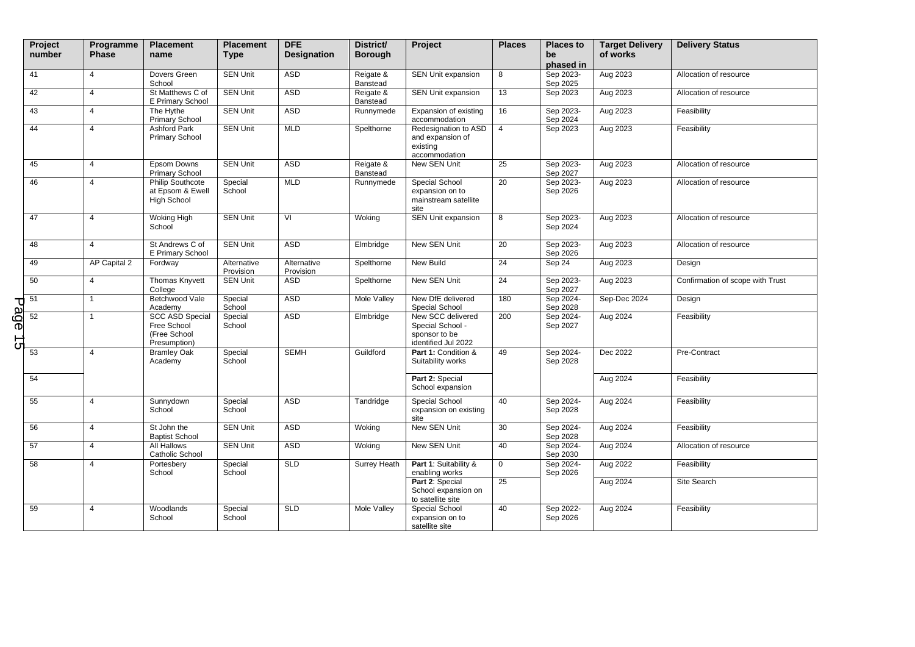|   | Project<br>number                                                                                                                                | Programme<br><b>Phase</b> | <b>Placement</b><br>name                                              | <b>Placement</b><br><b>Type</b> | <b>DFE</b><br><b>Designation</b> | District/<br><b>Borough</b> | Project                                                                       | <b>Places</b>   | <b>Places to</b><br>be<br>phased in | <b>Target Delivery</b><br>of works | <b>Delivery Status</b>           |
|---|--------------------------------------------------------------------------------------------------------------------------------------------------|---------------------------|-----------------------------------------------------------------------|---------------------------------|----------------------------------|-----------------------------|-------------------------------------------------------------------------------|-----------------|-------------------------------------|------------------------------------|----------------------------------|
|   | 41                                                                                                                                               | $\overline{4}$            | Dovers Green<br>School                                                | <b>SEN Unit</b>                 | ASD                              | Reigate &<br>Banstead       | <b>SEN Unit expansion</b>                                                     | 8               | Sep 2023-<br>Sep 2025               | Aug 2023                           | Allocation of resource           |
|   | 42                                                                                                                                               | $\overline{4}$            | St Matthews C of<br>E Primary School                                  | <b>SEN Unit</b>                 | ASD                              | Reigate &<br>Banstead       | SEN Unit expansion                                                            | 13              | Sep 2023                            | Aug 2023                           | Allocation of resource           |
|   | 43                                                                                                                                               | $\overline{4}$            | The Hythe<br>Primary School                                           | <b>SEN Unit</b>                 | ASD                              | Runnymede                   | Expansion of existing<br>accommodation                                        | 16              | Sep 2023-<br>Sep 2024               | Aug 2023                           | Feasibility                      |
|   | 44                                                                                                                                               | $\overline{4}$            | <b>Ashford Park</b><br><b>Primary School</b>                          | <b>SEN Unit</b>                 | <b>MLD</b>                       | Spelthorne                  | Redesignation to ASD<br>and expansion of<br>existing<br>accommodation         | $\overline{4}$  | Sep 2023                            | Aug 2023                           | Feasibility                      |
|   | 45                                                                                                                                               | $\overline{4}$            | Epsom Downs<br>Primary School                                         | <b>SEN Unit</b>                 | <b>ASD</b>                       | Reigate &<br>Banstead       | New SEN Unit                                                                  | $\overline{25}$ | Sep 2023-<br>Sep 2027               | Aug 2023                           | Allocation of resource           |
|   | 46                                                                                                                                               | $\overline{4}$            | <b>Philip Southcote</b><br>at Epsom & Ewell<br><b>High School</b>     | Special<br>School               | <b>MLD</b>                       | Runnymede                   | Special School<br>expansion on to<br>mainstream satellite<br>site             | 20              | Sep 2023-<br>Sep 2026               | Aug 2023                           | Allocation of resource           |
|   | 47                                                                                                                                               | $\overline{4}$            | Woking High<br>School                                                 | <b>SEN Unit</b>                 | VI                               | Woking                      | <b>SEN Unit expansion</b>                                                     | 8               | Sep 2023-<br>Sep 2024               | Aug 2023                           | Allocation of resource           |
|   | 48                                                                                                                                               | $\overline{4}$            | St Andrews C of<br>E Primary School                                   | <b>SEN Unit</b>                 | <b>ASD</b>                       | Elmbridge                   | New SEN Unit                                                                  | $\overline{20}$ | Sep 2023-<br>Sep 2026               | Aug 2023                           | Allocation of resource           |
|   | 49                                                                                                                                               | AP Capital 2              | Fordway                                                               | Alternative<br>Provision        | Alternative<br>Provision         | Spelthorne                  | New Build                                                                     | 24              | Sep 24                              | Aug 2023                           | Design                           |
|   | 50                                                                                                                                               | $\overline{4}$            | Thomas Knyvett<br>College                                             | <b>SEN Unit</b>                 | ASD                              | Spelthorne                  | New SEN Unit                                                                  | $\overline{24}$ | Sep 2023-<br>Sep 2027               | Aug 2023                           | Confirmation of scope with Trust |
|   |                                                                                                                                                  | $\mathbf{1}$              | Betchwood Vale<br>Academy                                             | Special<br>School               | <b>ASD</b>                       | Mole Valley                 | New DfE delivered<br>Special School                                           | 180             | Sep 2024-<br>Sep 2028               | Sep-Dec 2024                       | Design                           |
| G | $\begin{array}{c}\n\overline{\text{1}} \\ \overline{\text{1}} \\ \overline{\text{1}} \\ \overline{\text{1}} \\ \overline{\text{1}}\n\end{array}$ | $\mathbf{1}$              | <b>SCC ASD Special</b><br>Free School<br>(Free School<br>Presumption) | Special<br>School               | <b>ASD</b>                       | Elmbridge                   | New SCC delivered<br>Special School -<br>sponsor to be<br>identified Jul 2022 | 200             | Sep 2024-<br>Sep 2027               | Aug 2024                           | Feasibility                      |
|   | 53                                                                                                                                               | $\overline{4}$            | <b>Bramley Oak</b><br>Academy                                         | Special<br>School               | <b>SEMH</b>                      | Guildford                   | Part 1: Condition &<br>Suitability works                                      | 49              | Sep 2024-<br>Sep 2028               | Dec 2022                           | Pre-Contract                     |
|   | 54                                                                                                                                               |                           |                                                                       |                                 |                                  |                             | Part 2: Special<br>School expansion                                           |                 |                                     | Aug 2024                           | Feasibility                      |
|   | 55                                                                                                                                               | $\overline{4}$            | Sunnydown<br>School                                                   | Special<br>School               | <b>ASD</b>                       | Tandridge                   | <b>Special School</b><br>expansion on existing<br>site                        | 40              | Sep 2024-<br>Sep 2028               | Aug 2024                           | Feasibility                      |
|   | 56                                                                                                                                               | $\overline{4}$            | St John the<br><b>Baptist School</b>                                  | <b>SEN Unit</b>                 | <b>ASD</b>                       | Woking                      | New SEN Unit                                                                  | 30              | Sep 2024-<br>Sep 2028               | Aug 2024                           | Feasibility                      |
|   | 57                                                                                                                                               | $\overline{4}$            | All Hallows<br>Catholic School                                        | <b>SEN Unit</b>                 | ASD                              | Woking                      | New SEN Unit                                                                  | 40              | Sep 2024-<br>Sep 2030               | Aug 2024                           | Allocation of resource           |
|   | 58                                                                                                                                               | $\overline{4}$            | Portesbery<br>School                                                  | Special<br>School               | SLD                              | Surrey Heath                | Part 1: Suitability &<br>enabling works                                       | $\mathbf 0$     | Sep 2024-<br>Sep 2026               | Aug 2022                           | Feasibility                      |
|   |                                                                                                                                                  |                           |                                                                       |                                 |                                  |                             | Part 2: Special<br>School expansion on<br>to satellite site                   | 25              |                                     | Aug 2024                           | Site Search                      |
|   | 59                                                                                                                                               | $\overline{4}$            | Woodlands<br>School                                                   | Special<br>School               | SLD                              | Mole Valley                 | Special School<br>expansion on to<br>satellite site                           | 40              | Sep 2022-<br>Sep 2026               | Aug 2024                           | Feasibility                      |